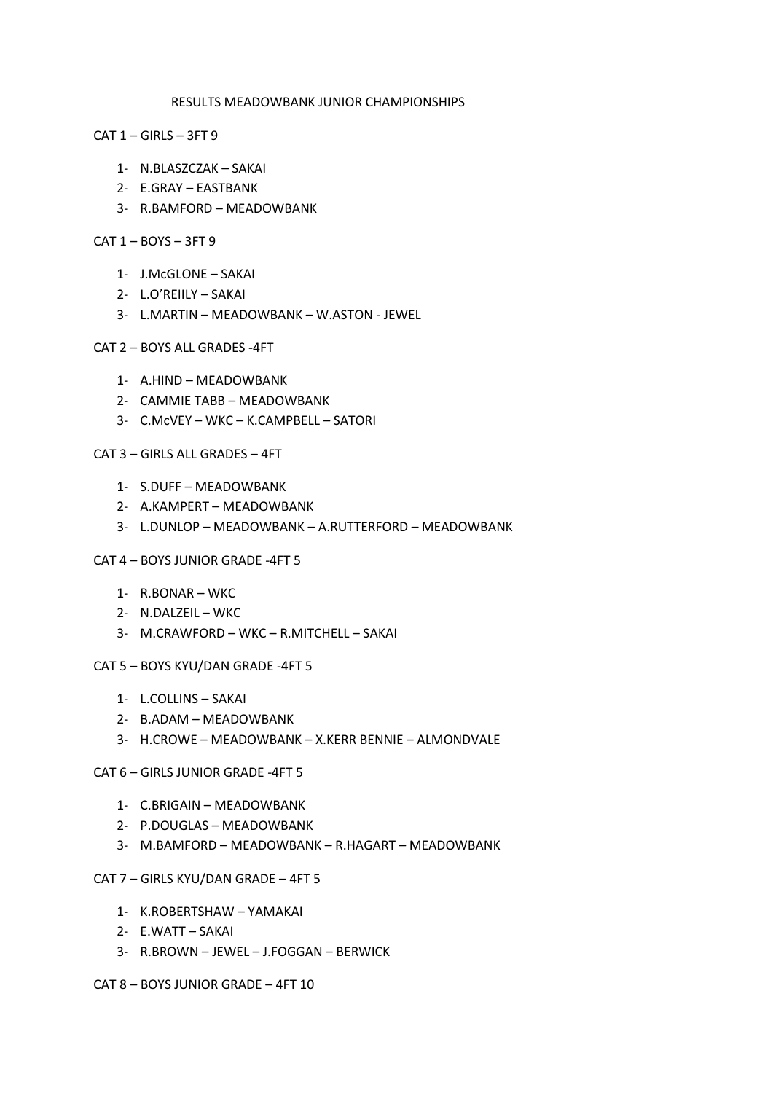#### RESULTS MEADOWBANK JUNIOR CHAMPIONSHIPS

 $CAT 1 - GIRLS - 3FT 9$ 

- 1- N.BLASZCZAK SAKAI
- 2- E.GRAY EASTBANK
- 3- R.BAMFORD MEADOWBANK
- $CAT 1 BOYS 3FT 9$ 
	- 1- J.McGLONE SAKAI
	- 2- L.O'REIILY SAKAI
	- 3- L.MARTIN MEADOWBANK W.ASTON JEWEL
- CAT 2 BOYS ALL GRADES -4FT
	- 1- A.HIND MEADOWBANK
	- 2- CAMMIE TABB MEADOWBANK
	- 3- C.McVEY WKC K.CAMPBELL SATORI
- CAT 3 GIRLS ALL GRADES 4FT
	- 1- S.DUFF MEADOWBANK
	- 2- A.KAMPERT MEADOWBANK
	- 3- L.DUNLOP MEADOWBANK A.RUTTERFORD MEADOWBANK
- CAT 4 BOYS JUNIOR GRADE -4FT 5
	- 1- R.BONAR WKC
	- 2- N.DALZEIL WKC
	- 3- M.CRAWFORD WKC R.MITCHELL SAKAI
- CAT 5 BOYS KYU/DAN GRADE -4FT 5
	- 1- L.COLLINS SAKAI
	- 2- B.ADAM MEADOWBANK
	- 3- H.CROWE MEADOWBANK X.KERR BENNIE ALMONDVALE
- CAT 6 GIRLS JUNIOR GRADE -4FT 5
	- 1- C.BRIGAIN MEADOWBANK
	- 2- P.DOUGLAS MEADOWBANK
	- 3- M.BAMFORD MEADOWBANK R.HAGART MEADOWBANK
- CAT 7 GIRLS KYU/DAN GRADE 4FT 5
	- 1- K.ROBERTSHAW YAMAKAI
	- 2- E.WATT SAKAI
	- 3- R.BROWN JEWEL J.FOGGAN BERWICK
- CAT 8 BOYS JUNIOR GRADE 4FT 10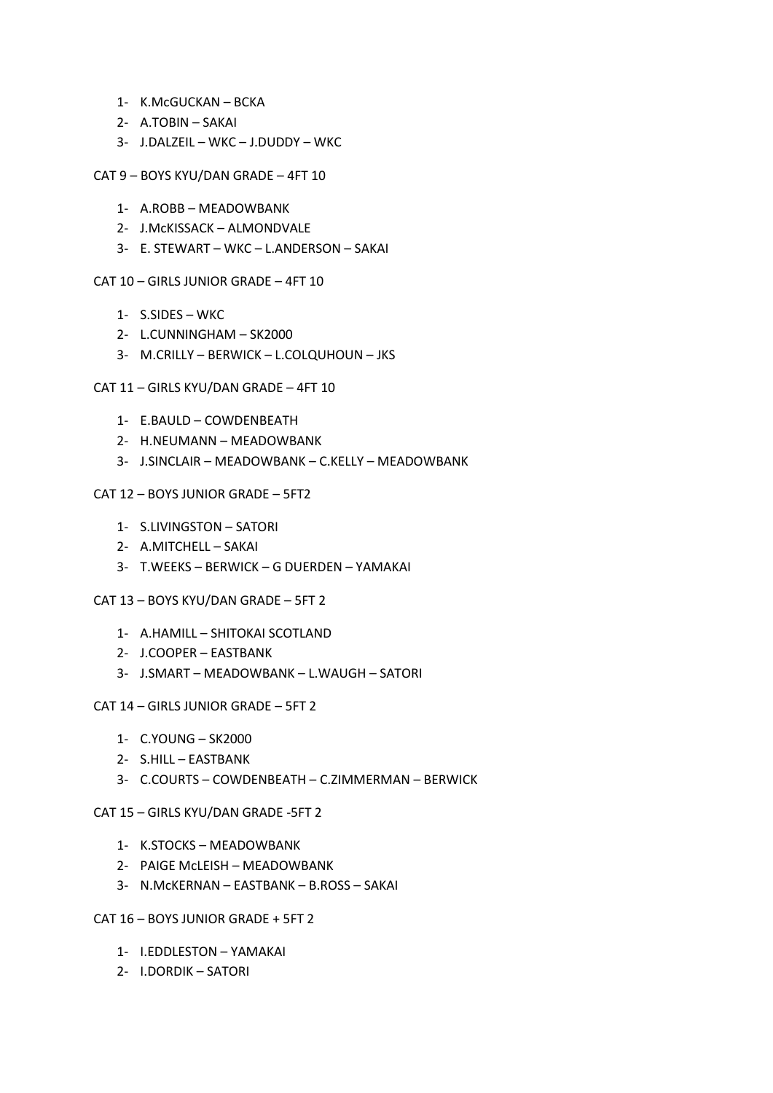- 1- K.McGUCKAN BCKA
- 2- A.TOBIN SAKAI
- 3- J.DALZEIL WKC J.DUDDY WKC
- CAT 9 BOYS KYU/DAN GRADE 4FT 10
	- 1- A.ROBB MEADOWBANK
	- 2- J.McKISSACK ALMONDVALE
	- 3- E. STEWART WKC L.ANDERSON SAKAI
- CAT 10 GIRLS JUNIOR GRADE 4FT 10
	- 1- S.SIDES WKC
	- 2- L.CUNNINGHAM SK2000
	- 3- M.CRILLY BERWICK L.COLQUHOUN JKS
- CAT 11 GIRLS KYU/DAN GRADE 4FT 10
	- 1- E.BAULD COWDENBEATH
	- 2- H.NEUMANN MEADOWBANK
	- 3- J.SINCLAIR MEADOWBANK C.KELLY MEADOWBANK
- CAT 12 BOYS JUNIOR GRADE 5FT2
	- 1- S.LIVINGSTON SATORI
	- 2- A.MITCHELL SAKAI
	- 3- T.WEEKS BERWICK G DUERDEN YAMAKAI
- CAT 13 BOYS KYU/DAN GRADE 5FT 2
	- 1- A.HAMILL SHITOKAI SCOTLAND
	- 2- J.COOPER EASTBANK
	- 3- J.SMART MEADOWBANK L.WAUGH SATORI
- CAT 14 GIRLS JUNIOR GRADE 5FT 2
	- 1- C.YOUNG SK2000
	- 2- S.HILL EASTBANK
	- 3- C.COURTS COWDENBEATH C.ZIMMERMAN BERWICK
- CAT 15 GIRLS KYU/DAN GRADE -5FT 2
	- 1- K.STOCKS MEADOWBANK
	- 2- PAIGE McLEISH MEADOWBANK
	- 3- N.McKERNAN EASTBANK B.ROSS SAKAI
- CAT 16 BOYS JUNIOR GRADE + 5FT 2
	- 1- I.EDDLESTON YAMAKAI
	- 2- I.DORDIK SATORI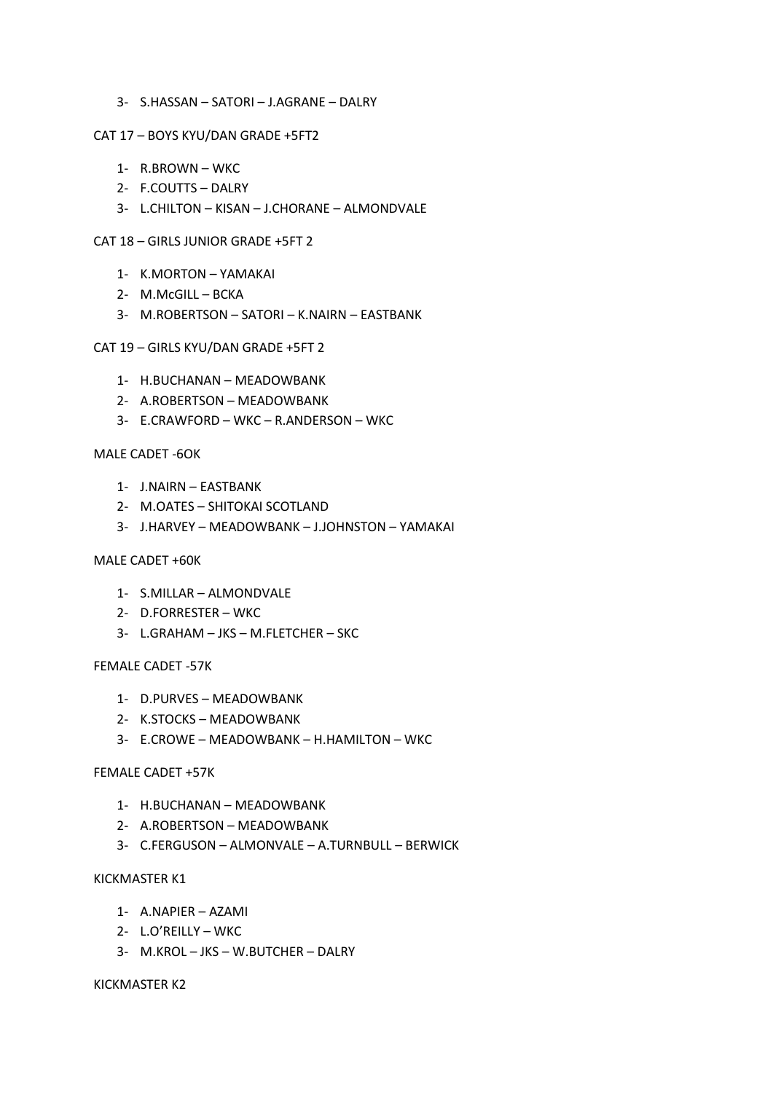- 3- S.HASSAN SATORI J.AGRANE DALRY
- CAT 17 BOYS KYU/DAN GRADE +5FT2
	- 1- R.BROWN WKC
	- 2- F.COUTTS DALRY
	- 3- L.CHILTON KISAN J.CHORANE ALMONDVALE
- CAT 18 GIRLS JUNIOR GRADE +5FT 2
	- 1- K.MORTON YAMAKAI
	- 2- M.McGILL BCKA
	- 3- M.ROBERTSON SATORI K.NAIRN EASTBANK
- CAT 19 GIRLS KYU/DAN GRADE +5FT 2
	- 1- H.BUCHANAN MEADOWBANK
	- 2- A.ROBERTSON MEADOWBANK
	- 3- E.CRAWFORD WKC R.ANDERSON WKC

# MALE CADET -6OK

- 1- J.NAIRN EASTBANK
- 2- M.OATES SHITOKAI SCOTLAND
- 3- J.HARVEY MEADOWBANK J.JOHNSTON YAMAKAI

### MALE CADET +60K

- 1- S.MILLAR ALMONDVALE
- 2- D.FORRESTER WKC
- 3- L.GRAHAM JKS M.FLETCHER SKC

### FEMALE CADET -57K

- 1- D.PURVES MEADOWBANK
- 2- K.STOCKS MEADOWBANK
- 3- E.CROWE MEADOWBANK H.HAMILTON WKC

#### FEMALE CADET +57K

- 1- H.BUCHANAN MEADOWBANK
- 2- A.ROBERTSON MEADOWBANK
- 3- C.FERGUSON ALMONVALE A.TURNBULL BERWICK

## KICKMASTER K1

- 1- A.NAPIER AZAMI
- 2- L.O'REILLY WKC
- 3- M.KROL JKS W.BUTCHER DALRY

### KICKMASTER K2